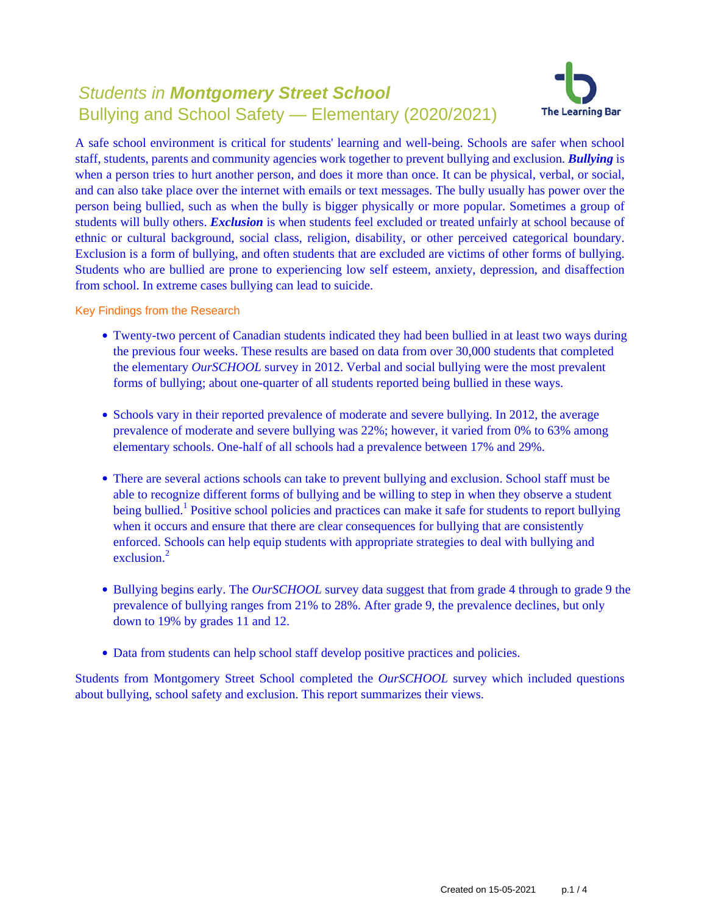# Students in **Montgomery Street School** Bullying and School Safety — Elementary (2020/2021)



A safe school environment is critical for students' learning and well-being. Schools are safer when school staff, students, parents and community agencies work together to prevent bullying and exclusion. *Bullying* is when a person tries to hurt another person, and does it more than once. It can be physical, verbal, or social, and can also take place over the internet with emails or text messages. The bully usually has power over the person being bullied, such as when the bully is bigger physically or more popular. Sometimes a group of students will bully others. *Exclusion* is when students feel excluded or treated unfairly at school because of ethnic or cultural background, social class, religion, disability, or other perceived categorical boundary. Exclusion is a form of bullying, and often students that are excluded are victims of other forms of bullying. Students who are bullied are prone to experiencing low self esteem, anxiety, depression, and disaffection from school. In extreme cases bullying can lead to suicide.

Key Findings from the Research

- Twenty-two percent of Canadian students indicated they had been bullied in at least two ways during the previous four weeks. These results are based on data from over 30,000 students that completed the elementary *OurSCHOOL* survey in 2012. Verbal and social bullying were the most prevalent forms of bullying; about one-quarter of all students reported being bullied in these ways.
- Schools vary in their reported prevalence of moderate and severe bullying. In 2012, the average prevalence of moderate and severe bullying was 22%; however, it varied from 0% to 63% among elementary schools. One-half of all schools had a prevalence between 17% and 29%.
- There are several actions schools can take to prevent bullying and exclusion. School staff must be able to recognize different forms of bullying and be willing to step in when they observe a student being bullied.<sup>1</sup> Positive school policies and practices can make it safe for students to report bullying when it occurs and ensure that there are clear consequences for bullying that are consistently enforced. Schools can help equip students with appropriate strategies to deal with bullying and exclusion $^2$
- Bullying begins early. The *OurSCHOOL* survey data suggest that from grade 4 through to grade 9 the prevalence of bullying ranges from 21% to 28%. After grade 9, the prevalence declines, but only down to 19% by grades 11 and 12.
- Data from students can help school staff develop positive practices and policies.

Students from Montgomery Street School completed the *OurSCHOOL* survey which included questions about bullying, school safety and exclusion. This report summarizes their views.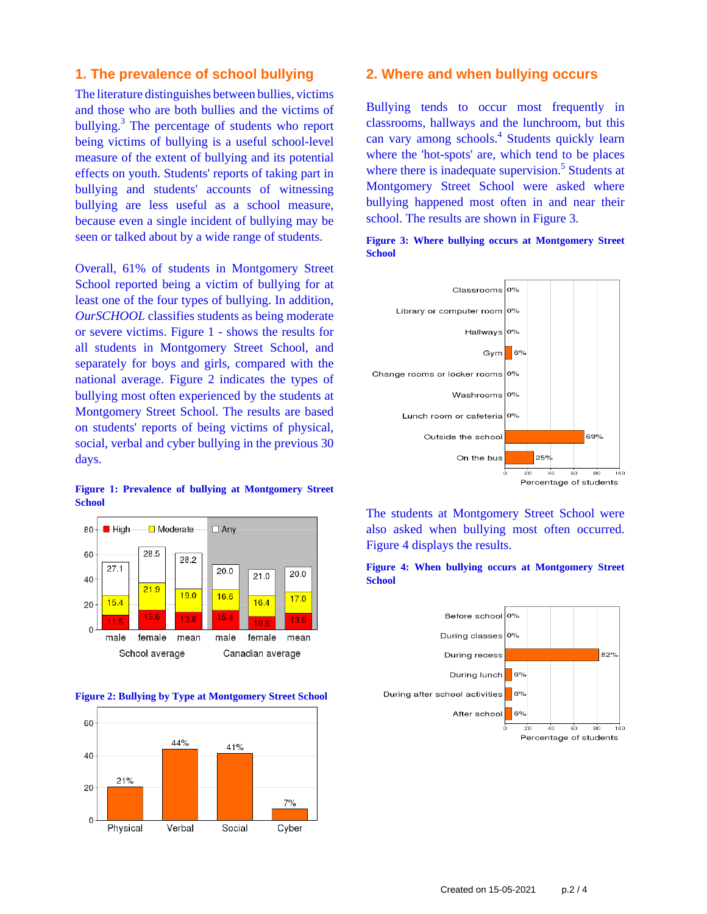# **1. The prevalence of school bullying**

The literature distinguishes between bullies, victims and those who are both bullies and the victims of bullying.<sup>3</sup> The percentage of students who report being victims of bullying is a useful school-level measure of the extent of bullying and its potential effects on youth. Students' reports of taking part in bullying and students' accounts of witnessing bullying are less useful as a school measure, because even a single incident of bullying may be seen or talked about by a wide range of students.

Overall, 61% of students in Montgomery Street School reported being a victim of bullying for at least one of the four types of bullying. In addition, *OurSCHOOL* classifies students as being moderate or severe victims. Figure 1 - shows the results for all students in Montgomery Street School, and separately for boys and girls, compared with the national average. Figure 2 indicates the types of bullying most often experienced by the students at Montgomery Street School. The results are based on students' reports of being victims of physical, social, verbal and cyber bullying in the previous 30 days.

#### **Figure 1: Prevalence of bullying at Montgomery Street School**







### **2. Where and when bullying occurs**

Bullying tends to occur most frequently in classrooms, hallways and the lunchroom, but this can vary among schools.<sup>4</sup> Students quickly learn where the 'hot-spots' are, which tend to be places where there is inadequate supervision.<sup>5</sup> Students at Montgomery Street School were asked where bullying happened most often in and near their school. The results are shown in Figure 3.





The students at Montgomery Street School were also asked when bullying most often occurred. Figure 4 displays the results.



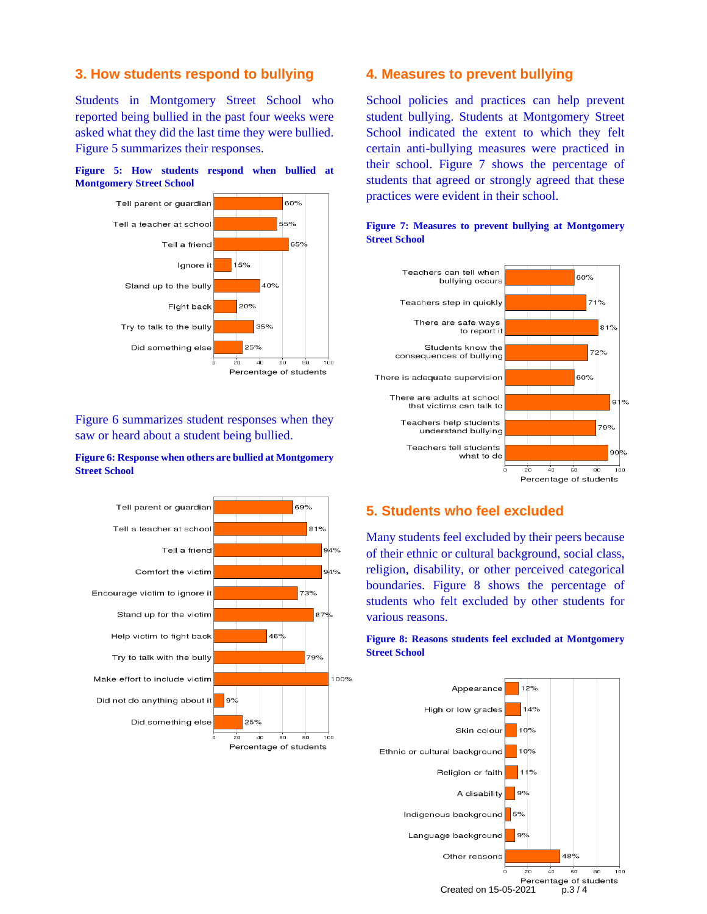# **3. How students respond to bullying**

Students in Montgomery Street School who reported being bullied in the past four weeks were asked what they did the last time they were bullied. Figure 5 summarizes their responses.





Figure 6 summarizes student responses when they saw or heard about a student being bullied.

### **Figure 6: Response when others are bullied at Montgomery Street School**



## **4. Measures to prevent bullying**

School policies and practices can help prevent student bullying. Students at Montgomery Street School indicated the extent to which they felt certain anti-bullying measures were practiced in their school. Figure 7 shows the percentage of students that agreed or strongly agreed that these practices were evident in their school.



### **Figure 7: Measures to prevent bullying at Montgomery Street School**

# **5. Students who feel excluded**

Many students feel excluded by their peers because of their ethnic or cultural background, social class, religion, disability, or other perceived categorical boundaries. Figure 8 shows the percentage of students who felt excluded by other students for various reasons.

### **Figure 8: Reasons students feel excluded at Montgomery Street School**